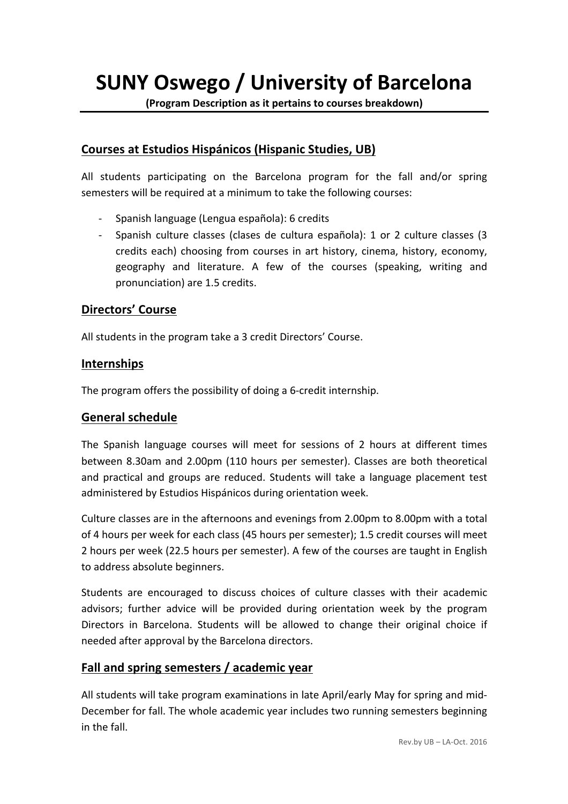**SUNY Oswego / University of Barcelona**

**(Program Description as it pertains to courses breakdown)**

### **Courses at Estudios Hispánicos (Hispanic Studies, UB)**

All students participating on the Barcelona program for the fall and/or spring semesters will be required at a minimum to take the following courses:

- Spanish language (Lengua española): 6 credits
- Spanish culture classes (clases de cultura española): 1 or 2 culture classes (3 credits each) choosing from courses in art history, cinema, history, economy, geography and literature. A few of the courses (speaking, writing and pronunciation) are 1.5 credits.

### **Directors' Course**

All students in the program take a 3 credit Directors' Course.

#### **Internships**

The program offers the possibility of doing a 6-credit internship.

### **General schedule**

The Spanish language courses will meet for sessions of 2 hours at different times between 8.30am and 2.00pm (110 hours per semester). Classes are both theoretical and practical and groups are reduced. Students will take a language placement test administered by Estudios Hispánicos during orientation week.

Culture classes are in the afternoons and evenings from 2.00pm to 8.00pm with a total of 4 hours per week for each class (45 hours per semester); 1.5 credit courses will meet 2 hours per week (22.5 hours per semester). A few of the courses are taught in English to address absolute beginners.

Students are encouraged to discuss choices of culture classes with their academic advisors; further advice will be provided during orientation week by the program Directors in Barcelona. Students will be allowed to change their original choice if needed after approval by the Barcelona directors.

### Fall and spring semesters / academic year

All students will take program examinations in late April/early May for spring and mid-December for fall. The whole academic year includes two running semesters beginning in the fall.